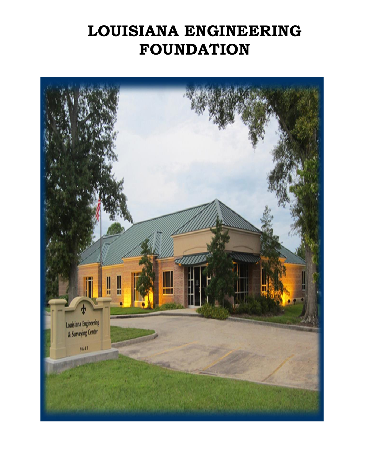# **LOUISIANA ENGINEERING FOUNDATION**

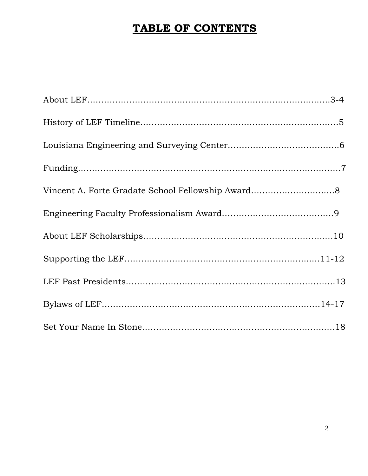# **TABLE OF CONTENTS**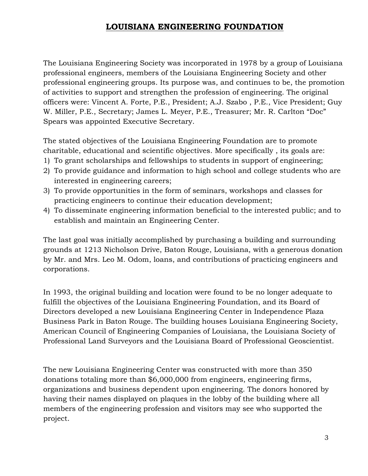# **LOUISIANA ENGINEERING FOUNDATION**

The Louisiana Engineering Society was incorporated in 1978 by a group of Louisiana professional engineers, members of the Louisiana Engineering Society and other professional engineering groups. Its purpose was, and continues to be, the promotion of activities to support and strengthen the profession of engineering. The original officers were: Vincent A. Forte, P.E., President; A.J. Szabo , P.E., Vice President; Guy W. Miller, P.E., Secretary; James L. Meyer, P.E., Treasurer; Mr. R. Carlton "Doc" Spears was appointed Executive Secretary.

The stated objectives of the Louisiana Engineering Foundation are to promote charitable, educational and scientific objectives. More specifically , its goals are:

- 1) To grant scholarships and fellowships to students in support of engineering;
- 2) To provide guidance and information to high school and college students who are interested in engineering careers;
- 3) To provide opportunities in the form of seminars, workshops and classes for practicing engineers to continue their education development;
- 4) To disseminate engineering information beneficial to the interested public; and to establish and maintain an Engineering Center.

The last goal was initially accomplished by purchasing a building and surrounding grounds at 1213 Nicholson Drive, Baton Rouge, Louisiana, with a generous donation by Mr. and Mrs. Leo M. Odom, loans, and contributions of practicing engineers and corporations.

In 1993, the original building and location were found to be no longer adequate to fulfill the objectives of the Louisiana Engineering Foundation, and its Board of Directors developed a new Louisiana Engineering Center in Independence Plaza Business Park in Baton Rouge. The building houses Louisiana Engineering Society, American Council of Engineering Companies of Louisiana, the Louisiana Society of Professional Land Surveyors and the Louisiana Board of Professional Geoscientist.

The new Louisiana Engineering Center was constructed with more than 350 donations totaling more than \$6,000,000 from engineers, engineering firms, organizations and business dependent upon engineering. The donors honored by having their names displayed on plaques in the lobby of the building where all members of the engineering profession and visitors may see who supported the project.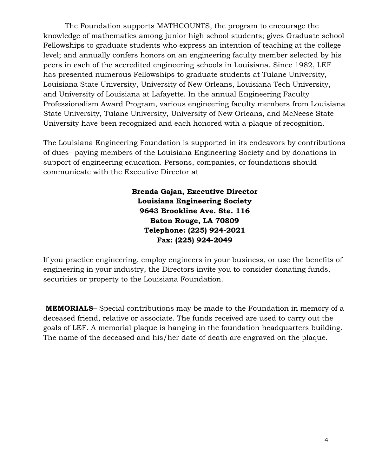The Foundation supports MATHCOUNTS, the program to encourage the knowledge of mathematics among junior high school students; gives Graduate school Fellowships to graduate students who express an intention of teaching at the college level; and annually confers honors on an engineering faculty member selected by his peers in each of the accredited engineering schools in Louisiana. Since 1982, LEF has presented numerous Fellowships to graduate students at Tulane University, Louisiana State University, University of New Orleans, Louisiana Tech University, and University of Louisiana at Lafayette. In the annual Engineering Faculty Professionalism Award Program, various engineering faculty members from Louisiana State University, Tulane University, University of New Orleans, and McNeese State University have been recognized and each honored with a plaque of recognition.

The Louisiana Engineering Foundation is supported in its endeavors by contributions of dues– paying members of the Louisiana Engineering Society and by donations in support of engineering education. Persons, companies, or foundations should communicate with the Executive Director at

> **Brenda Gajan, Executive Director Louisiana Engineering Society 9643 Brookline Ave. Ste. 116 Baton Rouge, LA 70809 Telephone: (225) 924-2021 Fax: (225) 924-2049**

If you practice engineering, employ engineers in your business, or use the benefits of engineering in your industry, the Directors invite you to consider donating funds, securities or property to the Louisiana Foundation.

**MEMORIALS**– Special contributions may be made to the Foundation in memory of a deceased friend, relative or associate. The funds received are used to carry out the goals of LEF. A memorial plaque is hanging in the foundation headquarters building. The name of the deceased and his/her date of death are engraved on the plaque.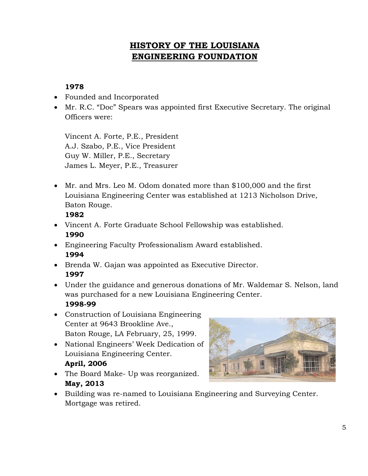# **HISTORY OF THE LOUISIANA ENGINEERING FOUNDATION**

## **1978**

- Founded and Incorporated
- Mr. R.C. "Doc" Spears was appointed first Executive Secretary. The original Officers were:

Vincent A. Forte, P.E., President A.J. Szabo, P.E., Vice President Guy W. Miller, P.E., Secretary James L. Meyer, P.E., Treasurer

• Mr. and Mrs. Leo M. Odom donated more than \$100,000 and the first Louisiana Engineering Center was established at 1213 Nicholson Drive, Baton Rouge.

### **1982**

- Vincent A. Forte Graduate School Fellowship was established. **1990**
- Engineering Faculty Professionalism Award established. **1994**
- Brenda W. Gajan was appointed as Executive Director. **1997**
- Under the guidance and generous donations of Mr. Waldemar S. Nelson, land was purchased for a new Louisiana Engineering Center. **1998-99**
- Construction of Louisiana Engineering Center at 9643 Brookline Ave., Baton Rouge, LA February, 25, 1999.
- National Engineers' Week Dedication of Louisiana Engineering Center. **April, 2006**
- The Board Make- Up was reorganized. **May, 2013**



• Building was re-named to Louisiana Engineering and Surveying Center. Mortgage was retired.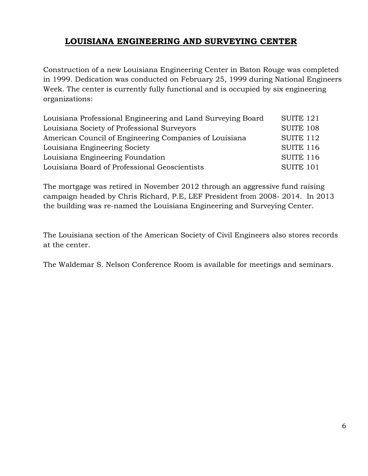# **LOUISIANA ENGINEERING AND SURVEYING CENTER**

Construction of a new Louisiana Engineering Center in Baton Rouge was completed in 1999. Dedication was conducted on February 25, 1999 during National Engineers Week. The center is currently fully functional and is occupied by six engineering organizations:

| Louisiana Professional Engineering and Land Surveying Board | SUITE <sub>121</sub> |
|-------------------------------------------------------------|----------------------|
| Louisiana Society of Professional Surveyors                 | <b>SUITE 108</b>     |
| American Council of Engineering Companies of Louisiana      | SUITE 112            |
| Louisiana Engineering Society                               | <b>SUITE 116</b>     |
| Louisiana Engineering Foundation                            | <b>SUITE 116</b>     |
| Louisiana Board of Professional Geoscientists               | SUITE <sub>101</sub> |

The mortgage was retired in November 2012 through an aggressive fund raising campaign headed by Chris Richard, P.E, LEF President from 2008- 2014. In 2013 the building was re-named the Louisiana Engineering and Surveying Center.

The Louisiana section of the American Society of Civil Engineers also stores records at the center.

The Waldemar S. Nelson Conference Room is available for meetings and seminars.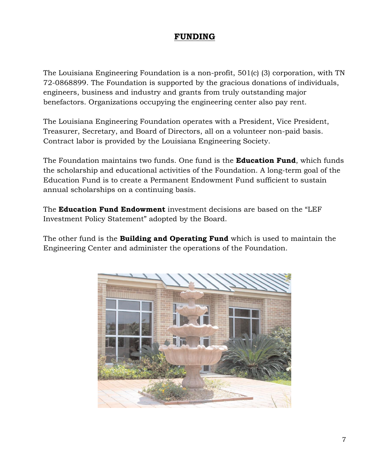# **FUNDING**

The Louisiana Engineering Foundation is a non-profit, 501(c) (3) corporation, with TN 72-0868899. The Foundation is supported by the gracious donations of individuals, engineers, business and industry and grants from truly outstanding major benefactors. Organizations occupying the engineering center also pay rent.

The Louisiana Engineering Foundation operates with a President, Vice President, Treasurer, Secretary, and Board of Directors, all on a volunteer non-paid basis. Contract labor is provided by the Louisiana Engineering Society.

The Foundation maintains two funds. One fund is the **Education Fund**, which funds the scholarship and educational activities of the Foundation. A long-term goal of the Education Fund is to create a Permanent Endowment Fund sufficient to sustain annual scholarships on a continuing basis.

The **Education Fund Endowment** investment decisions are based on the "LEF Investment Policy Statement" adopted by the Board.

The other fund is the **Building and Operating Fund** which is used to maintain the Engineering Center and administer the operations of the Foundation.

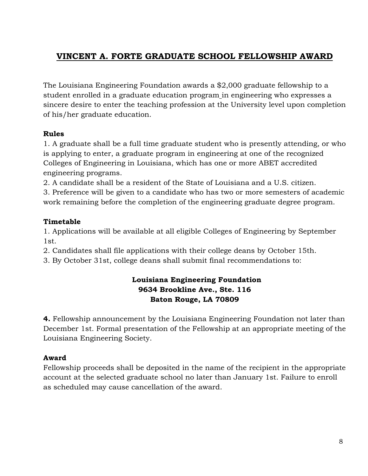# **VINCENT A. FORTE GRADUATE SCHOOL FELLOWSHIP AWARD**

The Louisiana Engineering Foundation awards a \$2,000 graduate fellowship to a student enrolled in a graduate education program in engineering who expresses a sincere desire to enter the teaching profession at the University level upon completion of his/her graduate education.

### **Rules**

1. A graduate shall be a full time graduate student who is presently attending, or who is applying to enter, a graduate program in engineering at one of the recognized Colleges of Engineering in Louisiana, which has one or more ABET accredited engineering programs.

2. A candidate shall be a resident of the State of Louisiana and a U.S. citizen.

3. Preference will be given to a candidate who has two or more semesters of academic work remaining before the completion of the engineering graduate degree program.

# **Timetable**

1. Applications will be available at all eligible Colleges of Engineering by September 1st.

2. Candidates shall file applications with their college deans by October 15th.

3. By October 31st, college deans shall submit final recommendations to:

# **Louisiana Engineering Foundation 9634 Brookline Ave., Ste. 116 Baton Rouge, LA 70809**

**4.** Fellowship announcement by the Louisiana Engineering Foundation not later than December 1st. Formal presentation of the Fellowship at an appropriate meeting of the Louisiana Engineering Society.

# **Award**

Fellowship proceeds shall be deposited in the name of the recipient in the appropriate account at the selected graduate school no later than January 1st. Failure to enroll as scheduled may cause cancellation of the award.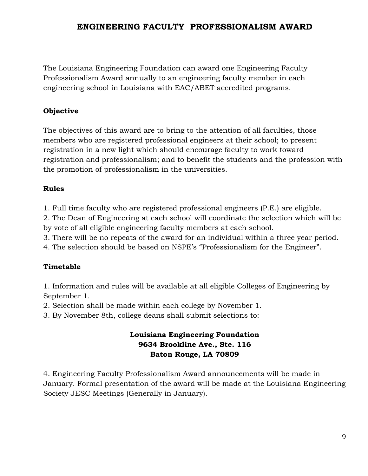# **ENGINEERING FACULTY PROFESSIONALISM AWARD**

The Louisiana Engineering Foundation can award one Engineering Faculty Professionalism Award annually to an engineering faculty member in each engineering school in Louisiana with EAC/ABET accredited programs.

### **Objective**

The objectives of this award are to bring to the attention of all faculties, those members who are registered professional engineers at their school; to present registration in a new light which should encourage faculty to work toward registration and professionalism; and to benefit the students and the profession with the promotion of professionalism in the universities.

### **Rules**

1. Full time faculty who are registered professional engineers (P.E.) are eligible.

2. The Dean of Engineering at each school will coordinate the selection which will be by vote of all eligible engineering faculty members at each school.

3. There will be no repeats of the award for an individual within a three year period.

4. The selection should be based on NSPE's "Professionalism for the Engineer".

### **Timetable**

1. Information and rules will be available at all eligible Colleges of Engineering by September 1.

2. Selection shall be made within each college by November 1.

3. By November 8th, college deans shall submit selections to:

## **Louisiana Engineering Foundation 9634 Brookline Ave., Ste. 116 Baton Rouge, LA 70809**

4. Engineering Faculty Professionalism Award announcements will be made in January. Formal presentation of the award will be made at the Louisiana Engineering Society JESC Meetings (Generally in January).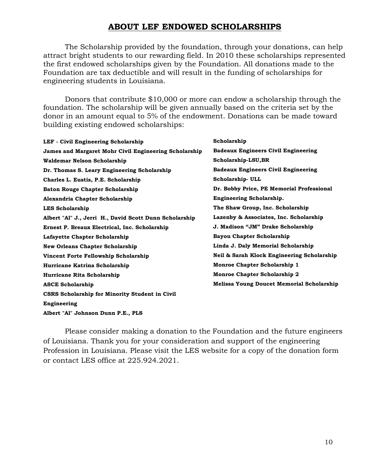## **ABOUT LEF ENDOWED SCHOLARSHIPS**

The Scholarship provided by the foundation, through your donations, can help attract bright students to our rewarding field. In 2010 these scholarships represented the first endowed scholarships given by the Foundation. All donations made to the Foundation are tax deductible and will result in the funding of scholarships for engineering students in Louisiana.

Donors that contribute \$10,000 or more can endow a scholarship through the foundation. The scholarship will be given annually based on the criteria set by the donor in an amount equal to 5% of the endowment. Donations can be made toward building existing endowed scholarships:

| <b>LEF</b> - Civil Engineering Scholarship             | Scholarship                                      |
|--------------------------------------------------------|--------------------------------------------------|
| James and Margaret Mohr Civil Engineering Scholarship  | <b>Badeaux Engineers Civil Engineering</b>       |
| Waldemar Nelson Scholarship                            | Scholarship-LSU, BR                              |
| Dr. Thomas S. Leary Engineering Scholarship            | <b>Badeaux Engineers Civil Engineering</b>       |
| Charles L. Eustis, P.E. Scholarship                    | Scholarship-ULL                                  |
| <b>Baton Rouge Chapter Scholarship</b>                 | Dr. Bobby Price, PE Memorial Professional        |
| Alexandria Chapter Scholarship                         | <b>Engineering Scholarship.</b>                  |
| <b>LES Scholarship</b>                                 | The Shaw Group, Inc. Scholarship                 |
| Albert "Al" J., Jerri H., David Scott Dunn Scholarship | Lazenby & Associates, Inc. Scholarship           |
| Ernest P. Breaux Electrical, Inc. Scholarship          | J. Madison "JM" Drake Scholarship                |
| Lafayette Chapter Scholarship                          | Bayou Chapter Scholarship                        |
| <b>New Orleans Chapter Scholarship</b>                 | Linda J. Daly Memorial Scholarship               |
| Vincent Forte Fellowship Scholarship                   | Neil & Sarah Klock Engineering Scholarship       |
| Hurricane Katrina Scholarship                          | Monroe Chapter Scholarship 1                     |
| Hurricane Rita Scholarship                             | <b>Monroe Chapter Scholarship 2</b>              |
| <b>ASCE Scholarship</b>                                | <b>Melissa Young Doucet Memorial Scholarship</b> |
| <b>CSRS Scholarship for Minority Student in Civil</b>  |                                                  |
| Engineering                                            |                                                  |
| Albert "Al" Johnson Dunn P.E., PLS                     |                                                  |

Please consider making a donation to the Foundation and the future engineers of Louisiana. Thank you for your consideration and support of the engineering Profession in Louisiana. Please visit the LES website for a copy of the donation form or contact LES office at 225.924.2021.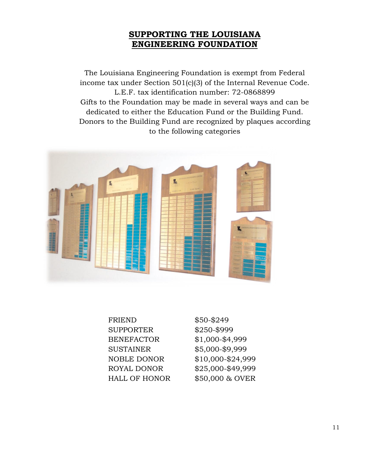# **SUPPORTING THE LOUISIANA ENGINEERING FOUNDATION**

The Louisiana Engineering Foundation is exempt from Federal income tax under Section 501(c)(3) of the Internal Revenue Code. L.E.F. tax identification number: 72-0868899 Gifts to the Foundation may be made in several ways and can be dedicated to either the Education Fund or the Building Fund. Donors to the Building Fund are recognized by plaques according to the following categories



| <b>FRIEND</b>        | \$50-\$249        |
|----------------------|-------------------|
| <b>SUPPORTER</b>     | \$250-\$999       |
| <b>BENEFACTOR</b>    | \$1,000-\$4,999   |
| <b>SUSTAINER</b>     | \$5,000-\$9,999   |
| <b>NOBLE DONOR</b>   | \$10,000-\$24,999 |
| <b>ROYAL DONOR</b>   | \$25,000-\$49,999 |
| <b>HALL OF HONOR</b> | \$50,000 & OVER   |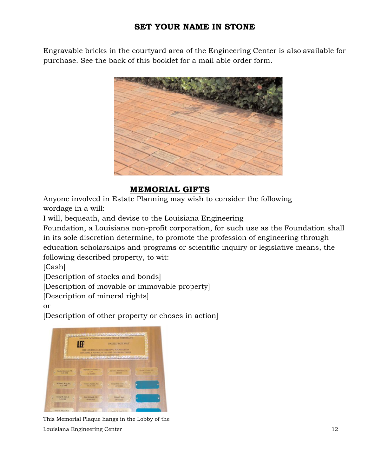# **SET YOUR NAME IN STONE**

Engravable bricks in the courtyard area of the Engineering Center is also available for purchase. See the back of this booklet for a mail able order form.



# **MEMORIAL GIFTS**

Anyone involved in Estate Planning may wish to consider the following wordage in a will:

I will, bequeath, and devise to the Louisiana Engineering

Foundation, a Louisiana non-profit corporation, for such use as the Foundation shall in its sole discretion determine, to promote the profession of engineering through education scholarships and programs or scientific inquiry or legislative means, the following described property, to wit:

[Cash]

[Description of stocks and bonds]

[Description of movable or immovable property]

[Description of mineral rights]

or

[Description of other property or choses in action]



This Memorial Plaque hangs in the Lobby of the Louisiana Engineering Center 12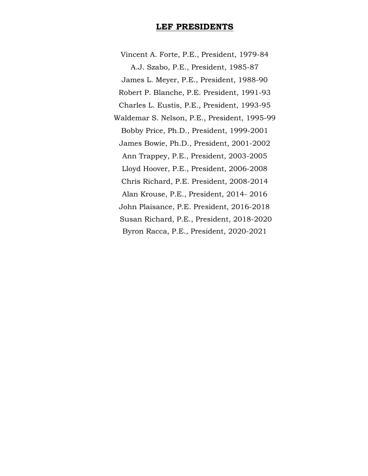### **LEF PRESIDENTS**

Vincent A. Forte, P.E., President, 1979-84 A.J. Szabo, P.E., President, 1985-87 James L. Meyer, P.E., President, 1988-90 Robert P. Blanche, P.E. President, 1991-93 Charles L. Eustis, P.E., President, 1993-95 Waldemar S. Nelson, P.E., President, 1995-99 Bobby Price, Ph.D., President, 1999-2001 James Bowie, Ph.D., President, 2001-2002 Ann Trappey, P.E., President, 2003-2005 Lloyd Hoover, P.E., President, 2006-2008 Chris Richard, P.E. President, 2008-2014 Alan Krouse, P.E., President, 2014- 2016 John Plaisance, P.E. President, 2016-2018 Susan Richard, P.E., President, 2018-2020 Byron Racca, P.E., President, 2020-2021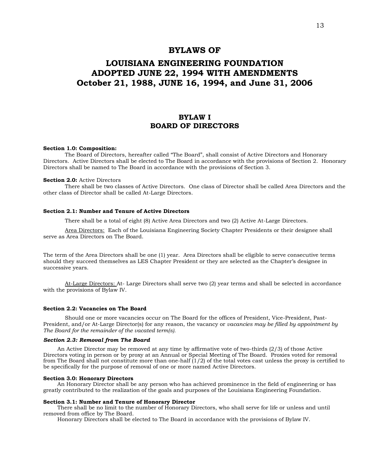### **BYLAWS OF**

# **LOUISIANA ENGINEERING FOUNDATION ADOPTED JUNE 22, 1994 WITH AMENDMENTS October 21, 1988, JUNE 16, 1994, and June 31, 2006**

### **BYLAW I BOARD OF DIRECTORS**

### **Section 1.0: Composition:**

The Board of Directors, hereafter called "The Board", shall consist of Active Directors and Honorary Directors. Active Directors shall be elected to The Board in accordance with the provisions of Section 2. Honorary Directors shall be named to The Board in accordance with the provisions of Section 3.

#### **Section 2.0:** Active Directors

There shall be two classes of Active Directors. One class of Director shall be called Area Directors and the other class of Director shall be called At-Large Directors.

### **Section 2.1: Number and Tenure of Active Directors**

There shall be a total of eight (8) Active Area Directors and two (2) Active At-Large Directors.

Area Directors: Each of the Louisiana Engineering Society Chapter Presidents or their designee shall serve as Area Directors on The Board.

The term of the Area Directors shall be one (1) year. Area Directors shall be eligible to serve consecutive terms should they succeed themselves as LES Chapter President or they are selected as the Chapter's designee in successive years.

At-Large Directors: At- Large Directors shall serve two (2) year terms and shall be selected in accordance with the provisions of Bylaw IV.

### **Section 2.2: Vacancies on The Board**

Should one or more vacancies occur on The Board for the offices of President, Vice-President, Past-President, and/or At-Large Director(s) for any reason, the vacancy or *vacancies may be filled by appointment by The Board for the remainder of the vacated term(s).* 

### *Section 2.3: Removal from The Board*

An Active Director may be removed at any time by affirmative vote of two-thirds (2/3) of those Active Directors voting in person or by proxy at an Annual or Special Meeting of The Board. Proxies voted for removal from The Board shall not constitute more than one-half  $(1/2)$  of the total votes cast unless the proxy is certified to be specifically for the purpose of removal of one or more named Active Directors.

#### **Section 3.0: Honorary Directors**

An Honorary Director shall be any person who has achieved prominence in the field of engineering or has greatly contributed to the realization of the goals and purposes of the Louisiana Engineering Foundation.

### **Section 3.1: Number and Tenure of Honorary Director**

There shall be no limit to the number of Honorary Directors, who shall serve for life or unless and until removed from office by The Board.

Honorary Directors shall be elected to The Board in accordance with the provisions of Bylaw IV.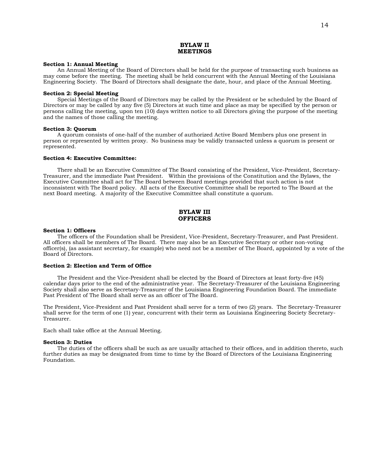### **BYLAW II MEETINGS**

#### **Section 1: Annual Meeting**

An Annual Meeting of the Board of Directors shall be held for the purpose of transacting such business as may come before the meeting. The meeting shall be held concurrent with the Annual Meeting of the Louisiana Engineering Society. The Board of Directors shall designate the date, hour, and place of the Annual Meeting.

#### **Section 2: Special Meeting**

Special Meetings of the Board of Directors may be called by the President or be scheduled by the Board of Directors or may be called by any five (5) Directors at such time and place as may be specified by the person or persons calling the meeting, upon ten (10) days written notice to all Directors giving the purpose of the meeting and the names of those calling the meeting.

### **Section 3: Quorum**

A quorum consists of one-half of the number of authorized Active Board Members plus one present in person or represented by written proxy. No business may be validly transacted unless a quorum is present or represented.

### **Section 4: Executive Committee:**

There shall be an Executive Committee of The Board consisting of the President, Vice-President, Secretary-Treasurer, and the immediate Past President. Within the provisions of the Constitution and the Bylaws, the Executive Committee shall act for The Board between Board meetings provided that such action is not inconsistent with The Board policy. All acts of the Executive Committee shall be reported to The Board at the next Board meeting. A majority of the Executive Committee shall constitute a quorum.

### **BYLAW III OFFICERS**

### **Section 1: Officers**

The officers of the Foundation shall be President, Vice-President, Secretary-Treasurer, and Past President. All officers shall be members of The Board. There may also be an Executive Secretary or other non-voting officer(s), (as assistant secretary, for example) who need not be a member of The Board, appointed by a vote of the Board of Directors.

#### **Section 2: Election and Term of Office**

The President and the Vice-President shall be elected by the Board of Directors at least forty-five (45) calendar days prior to the end of the administrative year. The Secretary-Treasurer of the Louisiana Engineering Society shall also serve as Secretary-Treasurer of the Louisiana Engineering Foundation Board. The immediate Past President of The Board shall serve as an officer of The Board.

The President, Vice-President and Past President shall serve for a term of two (2) years. The Secretary-Treasurer shall serve for the term of one (1) year, concurrent with their term as Louisiana Engineering Society Secretary-Treasurer.

Each shall take office at the Annual Meeting.

#### **Section 3: Duties**

The duties of the officers shall be such as are usually attached to their offices, and in addition thereto, such further duties as may be designated from time to time by the Board of Directors of the Louisiana Engineering Foundation.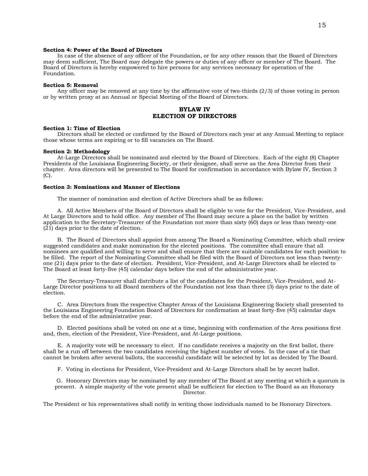### **Section 4: Power of the Board of Directors**

In case of the absence of any officer of the Foundation, or for any other reason that the Board of Directors may deem sufficient, The Board may delegate the powers or duties of any officer or member of The Board. The Board of Directors is hereby empowered to hire persons for any services necessary for operation of the Foundation.

#### **Section 5: Removal**

Any officer may be removed at any time by the affirmative vote of two-thirds (2/3) of those voting in person or by written proxy at an Annual or Special Meeting of the Board of Directors.

### **BYLAW IV ELECTION OF DIRECTORS**

#### **Section 1: Time of Election**

Directors shall be elected or confirmed by the Board of Directors each year at any Annual Meeting to replace those whose terms are expiring or to fill vacancies on The Board.

#### **Section 2: Methodology**

At-Large Directors shall be nominated and elected by the Board of Directors. Each of the eight (8) Chapter Presidents of the Louisiana Engineering Society, or their designee, shall serve as the Area Director from their chapter. Area directors will be presented to The Board for confirmation in accordance with Bylaw IV, Section 3  $(C)$ .

#### **Section 3: Nominations and Manner of Elections**

The manner of nomination and election of Active Directors shall be as follows:

A. All Active Members of the Board of Directors shall be eligible to vote for the President, Vice-President, and At Large Directors and to hold office. Any member of The Board may secure a place on the ballot by written application to the Secretary-Treasurer of the Foundation not more than sixty (60) days or less than twenty-one (21) days prior to the date of election.

B. The Board of Directors shall appoint from among The Board a Nominating Committee, which shall review suggested candidates and make nomination for the elected positions. The committee shall ensure that all nominees are qualified and willing to serve and shall ensure that there are suitable candidates for each position to be filled. The report of the Nominating Committee shall be filed with the Board of Directors not less than twentyone (21) days prior to the date of election. President, Vice-President, and At-Large Directors shall be elected to The Board at least forty-five (45) calendar days before the end of the administrative year.

The Secretary-Treasurer shall distribute a list of the candidates for the President, Vice-President, and At-Large Director positions to all Board members of the Foundation not less than three (3) days prior to the date of election.

C. Area Directors from the respective Chapter Areas of the Louisiana Engineering Society shall presented to the Louisiana Engineering Foundation Board of Directors for confirmation at least forty-five (45) calendar days before the end of the administrative year.

D. Elected positions shall be voted on one at a time, beginning with confirmation of the Area positions first and, then, election of the President, Vice-President, and At-Large positions.

E. A majority vote will be necessary to elect. If no candidate receives a majority on the first ballot, there shall be a run off between the two candidates receiving the highest number of votes. In the case of a tie that cannot be broken after several ballots, the successful candidate will be selected by lot as decided by The Board.

F. Voting in elections for President, Vice-President and At-Large Directors shall be by secret ballot.

 G. Honorary Directors may be nominated by any member of The Board at any meeting at which a quorum is present. A simple majority of the vote present shall be sufficient for election to The Board as an Honorary Director.

The President or his representatives shall notify in writing those individuals named to be Honorary Directors.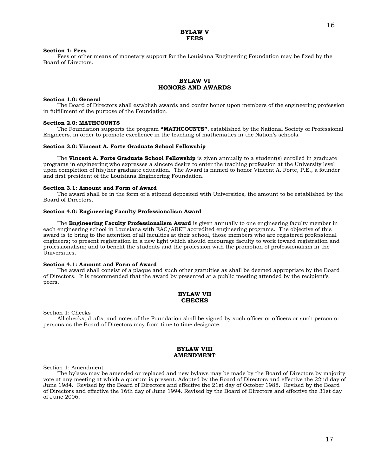#### **BYLAW V FEES**

#### **Section 1: Fees**

Fees or other means of monetary support for the Louisiana Engineering Foundation may be fixed by the Board of Directors.

### **BYLAW VI HONORS AND AWARDS**

#### **Section 1.0: General**

The Board of Directors shall establish awards and confer honor upon members of the engineering profession in fulfillment of the purpose of the Foundation.

### **Section 2.0: MATHCOUNTS**

The Foundation supports the program **"MATHCOUNTS"**, established by the National Society of Professional Engineers, in order to promote excellence in the teaching of mathematics in the Nation's schools.

#### **Section 3.0: Vincent A. Forte Graduate School Fellowship**

The **Vincent A. Forte Graduate School Fellowship** is given annually to a student(s) enrolled in graduate programs in engineering who expresses a sincere desire to enter the teaching profession at the University level upon completion of his/her graduate education. The Award is named to honor Vincent A. Forte, P.E., a founder and first president of the Louisiana Engineering Foundation.

#### **Section 3.1: Amount and Form of Award**

The award shall be in the form of a stipend deposited with Universities, the amount to be established by the Board of Directors.

### **Section 4.0: Engineering Faculty Professionalism Award**

The **Engineering Faculty Professionalism Award** is given annually to one engineering faculty member in each engineering school in Louisiana with EAC/ABET accredited engineering programs. The objective of this award is to bring to the attention of all faculties at their school, those members who are registered professional engineers; to present registration in a new light which should encourage faculty to work toward registration and professionalism; and to benefit the students and the profession with the promotion of professionalism in the Universities.

#### **Section 4.1: Amount and Form of Award**

The award shall consist of a plaque and such other gratuities as shall be deemed appropriate by the Board of Directors. It is recommended that the award by presented at a public meeting attended by the recipient's peers.

### **BYLAW VII CHECKS**

Section 1: Checks

All checks, drafts, and notes of the Foundation shall be signed by such officer or officers or such person or persons as the Board of Directors may from time to time designate.

### **BYLAW VIII AMENDMENT**

Section 1: Amendment

The bylaws may be amended or replaced and new bylaws may be made by the Board of Directors by majority vote at any meeting at which a quorum is present. Adopted by the Board of Directors and effective the 22nd day of June 1984. Revised by the Board of Directors and effective the 21st day of October 1988. Revised by the Board of Directors and effective the 16th day of June 1994. Revised by the Board of Directors and effective the 31st day of June 2006.